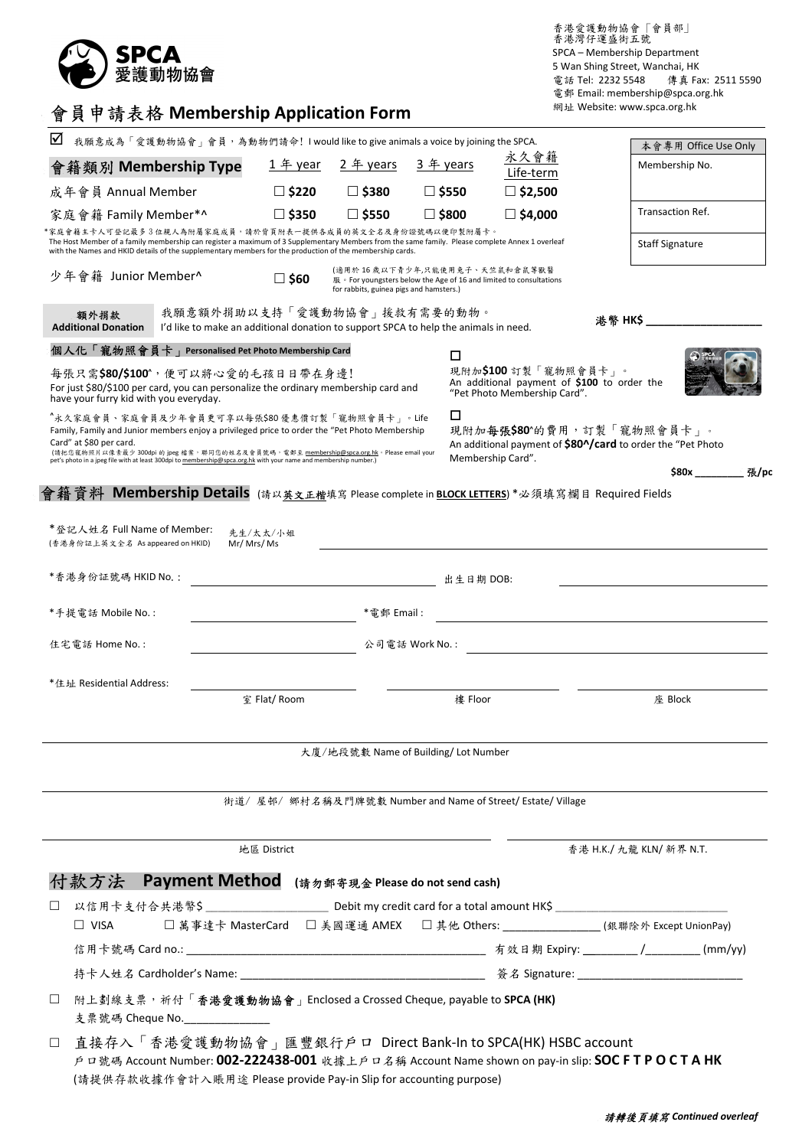

香港愛護動物協會 「會員部」 香港灣仔運盛街五號 SPCA – Membership Department 5 Wan Shing Street, Wanchai, HK 電話 Tel: 2232 5548 傳真 Fax: 2511 5590 電郵 Email: membership@spca.org.hk 網址 Website: www.spca.org.hk

|  |  |  |  | 會員申請表格 Membership Application Form |
|--|--|--|--|------------------------------------|
|--|--|--|--|------------------------------------|

| ☑                                                                                                                                                                                                                                                                                                                                                                                                                                                                                                               | 我願意成為「愛護動物協會」會員,為動物們請命! I would like to give animals a voice by joining the SPCA.                                   |                 |                 |                                      |                                                              | 本會專用 Office Use Only                                                                                      |  |
|-----------------------------------------------------------------------------------------------------------------------------------------------------------------------------------------------------------------------------------------------------------------------------------------------------------------------------------------------------------------------------------------------------------------------------------------------------------------------------------------------------------------|---------------------------------------------------------------------------------------------------------------------|-----------------|-----------------|--------------------------------------|--------------------------------------------------------------|-----------------------------------------------------------------------------------------------------------|--|
| 會籍類別 Membership Type                                                                                                                                                                                                                                                                                                                                                                                                                                                                                            |                                                                                                                     | 1 年 year        | 2 年 years       | 3 年 years                            | 永久會籍<br>Life-term                                            | Membership No.                                                                                            |  |
| 成年會員 Annual Member                                                                                                                                                                                                                                                                                                                                                                                                                                                                                              |                                                                                                                     | $\Box$ \$220    | $\square$ \$380 | $\square$ \$550                      | $\square$ \$2,500                                            |                                                                                                           |  |
| 家庭會籍 Family Member*^                                                                                                                                                                                                                                                                                                                                                                                                                                                                                            |                                                                                                                     | $\square$ \$350 | $\Box$ \$550    | □ \$800                              | $\Box$ \$4,000                                               | Transaction Ref.                                                                                          |  |
| *家庭會籍主卡人可登記最多3位親人為附屬家庭成員,請於背頁附表一提供各成員的英文全名及身份證號碼以便印製附屬卡。<br>The Host Member of a family membership can register a maximum of 3 Supplementary Members from the same family. Please complete Annex 1 overleaf<br>with the Names and HKID details of the supplementary members for the production of the membership cards.                                                                                                                                                                                         |                                                                                                                     |                 |                 |                                      |                                                              | <b>Staff Signature</b>                                                                                    |  |
| (適用於 16 歲以下青少年,只能使用兔子、天竺鼠和倉鼠等獸醫<br>少年會籍 Junior Member^<br>$\square$ S60<br>服。For youngsters below the Age of 16 and limited to consultations<br>for rabbits, guinea pigs and hamsters.)                                                                                                                                                                                                                                                                                                                         |                                                                                                                     |                 |                 |                                      |                                                              |                                                                                                           |  |
| 額外捐款<br><b>Additional Donation</b>                                                                                                                                                                                                                                                                                                                                                                                                                                                                              | 我願意額外捐助以支持「愛護動物協會」援救有需要的動物。<br>I'd like to make an additional donation to support SPCA to help the animals in need. |                 |                 |                                      |                                                              | <b>法幣 HKS</b> アイトリック                                                                                      |  |
| 個人化「寵物照會員卡」Personalised Pet Photo Membership Card                                                                                                                                                                                                                                                                                                                                                                                                                                                               |                                                                                                                     |                 |                 | □                                    |                                                              |                                                                                                           |  |
| 現附加\$100 訂製「寵物照會員卡」。<br>每張只需\$80/\$100^,便可以將心愛的毛孩日日帶在身邊!<br>An additional payment of \$100 to order the<br>For just \$80/\$100 per card, you can personalize the ordinary membership card and<br>"Pet Photo Membership Card".<br>have your furry kid with you everyday.                                                                                                                                                                                                                                         |                                                                                                                     |                 |                 |                                      |                                                              |                                                                                                           |  |
| □<br>"永久家庭會員、家庭會員及少年會員更可享以每張\$80 優惠價訂製「寵物照會員卡」。Life<br>現附加每張\$80^的費用,訂製「寵物照會員卡」。<br>Family, Family and Junior members enjoy a privileged price to order the "Pet Photo Membership<br>Card" at \$80 per card.<br>An additional payment of \$80^/card to order the "Pet Photo<br>(請把您寵物照片以像素最少 300dpi 的 jpeg 檔案,聯同您的姓名及會員號碼,電郵至 membership@spca.org.hk。Please email your<br>Membership Card".<br>pet's photo in a jpeg file with at least 300dpi to membership@spca.org.hk with your name and membership number.) |                                                                                                                     |                 |                 |                                      |                                                              |                                                                                                           |  |
|                                                                                                                                                                                                                                                                                                                                                                                                                                                                                                                 |                                                                                                                     |                 |                 |                                      |                                                              | \$80x 張/po                                                                                                |  |
| 會籍資料 Membership Details (請以英文正楷填寫 Please complete in <u>BLOCK LETTERS</u> ) *必須填寫欄目 Required Fields                                                                                                                                                                                                                                                                                                                                                                                                             |                                                                                                                     |                 |                 |                                      |                                                              |                                                                                                           |  |
| * 登記人姓名 Full Name of Member:<br>(香港身份証上英文全名 As appeared on HKID)                                                                                                                                                                                                                                                                                                                                                                                                                                                | Mr/Mrs/Ms                                                                                                           | 先生/太太/小姐        |                 |                                      |                                                              |                                                                                                           |  |
| *香港身份証號碼 HKID No.:                                                                                                                                                                                                                                                                                                                                                                                                                                                                                              |                                                                                                                     |                 |                 | 出生日期 DOB:                            |                                                              |                                                                                                           |  |
| *手提電話 Mobile No. :                                                                                                                                                                                                                                                                                                                                                                                                                                                                                              |                                                                                                                     |                 | *雷郵 Email :     |                                      |                                                              |                                                                                                           |  |
| 住宅電話 Home No. :                                                                                                                                                                                                                                                                                                                                                                                                                                                                                                 |                                                                                                                     |                 |                 | 公司電話 Work No.:                       |                                                              |                                                                                                           |  |
| *住址 Residential Address:                                                                                                                                                                                                                                                                                                                                                                                                                                                                                        |                                                                                                                     |                 |                 |                                      |                                                              |                                                                                                           |  |
|                                                                                                                                                                                                                                                                                                                                                                                                                                                                                                                 |                                                                                                                     | 室 Flat/ Room    |                 | 樓 Floor                              |                                                              | 座 Block                                                                                                   |  |
|                                                                                                                                                                                                                                                                                                                                                                                                                                                                                                                 |                                                                                                                     |                 |                 | 大廈/地段號數 Name of Building/ Lot Number |                                                              |                                                                                                           |  |
|                                                                                                                                                                                                                                                                                                                                                                                                                                                                                                                 |                                                                                                                     |                 |                 |                                      |                                                              |                                                                                                           |  |
|                                                                                                                                                                                                                                                                                                                                                                                                                                                                                                                 |                                                                                                                     |                 |                 |                                      | 街道/屋邨/ 鄉村名稱及門牌號數 Number and Name of Street/ Estate/ Village  |                                                                                                           |  |
|                                                                                                                                                                                                                                                                                                                                                                                                                                                                                                                 |                                                                                                                     | 地區 District     |                 |                                      |                                                              | 香港 H.K./ 九龍 KLN/ 新界 N.T.                                                                                  |  |
| 款方法                                                                                                                                                                                                                                                                                                                                                                                                                                                                                                             | <b>Payment Method</b> (請勿郵寄現金 Please do not send cash)                                                              |                 |                 |                                      |                                                              |                                                                                                           |  |
| ⊔                                                                                                                                                                                                                                                                                                                                                                                                                                                                                                               |                                                                                                                     |                 |                 |                                      |                                                              |                                                                                                           |  |
| $\Box$ VISA                                                                                                                                                                                                                                                                                                                                                                                                                                                                                                     |                                                                                                                     |                 |                 |                                      |                                                              | □ 萬事達卡 MasterCard  □ 美國運通 AMEX  □ 其他 Others: ________________(銀聯除外 Except UnionPay)                       |  |
|                                                                                                                                                                                                                                                                                                                                                                                                                                                                                                                 |                                                                                                                     |                 |                 |                                      |                                                              |                                                                                                           |  |
|                                                                                                                                                                                                                                                                                                                                                                                                                                                                                                                 |                                                                                                                     |                 |                 |                                      |                                                              |                                                                                                           |  |
| $\Box$<br>支票號碼 Cheque No.                                                                                                                                                                                                                                                                                                                                                                                                                                                                                       | 附上劃線支票, 祈付「香港愛護動物協會」Enclosed a Crossed Cheque, payable to SPCA (HK)<br><u> 1980 - Johann Barbara, martin a</u>      |                 |                 |                                      |                                                              |                                                                                                           |  |
| $\Box$                                                                                                                                                                                                                                                                                                                                                                                                                                                                                                          | (請提供存款收據作會計入賬用途 Please provide Pay-in Slip for accounting purpose)                                                  |                 |                 |                                      | 直接存入「香港愛護動物協會」匯豐銀行戶口 Direct Bank-In to SPCA(HK) HSBC account | 戸ロ號碼 Account Number: <b>002-222438-001</b> 收據上戶ロ名稱 Account Name shown on pay-in slip: <b>SOCFTPOCTAHK</b> |  |